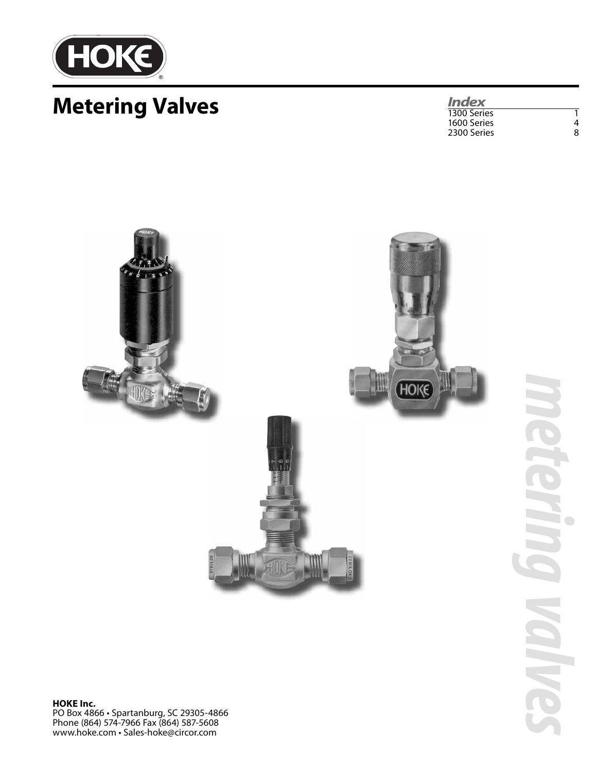

# **Metering Valves**

*Index* 1300 Series 1 1600 Series 4 2300 Series



*metering valves*  $\Box$ **CALLO**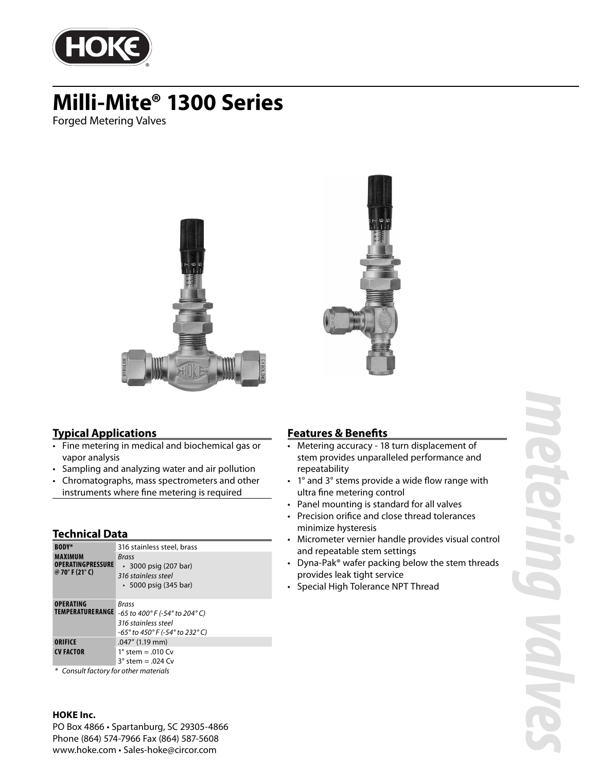

# **Milli-Mite® 1300 Series**

Forged Metering Valves





### **Typical Applications**

- Fine metering in medical and biochemical gas or vapor analysis
- Sampling and analyzing water and air pollution
- Chromatographs, mass spectrometers and other instruments where fine metering is required

#### **Technical Data**

| <b>BODY*</b>                                                  | 316 stainless steel, brass                                                                             |
|---------------------------------------------------------------|--------------------------------------------------------------------------------------------------------|
| <b>MAXIMUM</b><br><b>OPERATINGPRESSURE</b><br>@ 70° F (21° C) | <b>Brass</b><br>• 3000 psig (207 bar)<br>316 stainless steel<br>$\cdot$ 5000 psig (345 bar)            |
| <b>OPERATING</b><br><b>TEMPERATURERANGE</b>                   | <b>Brass</b><br>-65 to 400°F (-54° to 204°C)<br>316 stainless steel<br>-65° to 450° F (-54° to 232° C) |
| ORIFICE<br><b>CV FACTOR</b>                                   | .047" (1.19 mm)<br>1 $\degree$ stem = .010 Cv<br>$3^\circ$ stem = .024 Cv                              |

\* Consult factory for other materials

#### **HOKE Inc.**

PO Box 4866 • Spartanburg, SC 29305-4866 Phone (864) 574-7966 Fax (864) 587-5608 www.hoke.com • Sales-hoke@circor.com

### **Features & Benefits**

- Metering accuracy 18 turn displacement of stem provides unparalleled performance and repeatability
- $\cdot$  1° and 3° stems provide a wide flow range with ultra fine metering control
- Panel mounting is standard for all valves
- Precision orifice and close thread tolerances minimize hysteresis
- Micrometer vernier handle provides visual control and repeatable stem settings
- Dyna-Pak® wafer packing below the stem threads provides leak tight service
- Special High Tolerance NPT Thread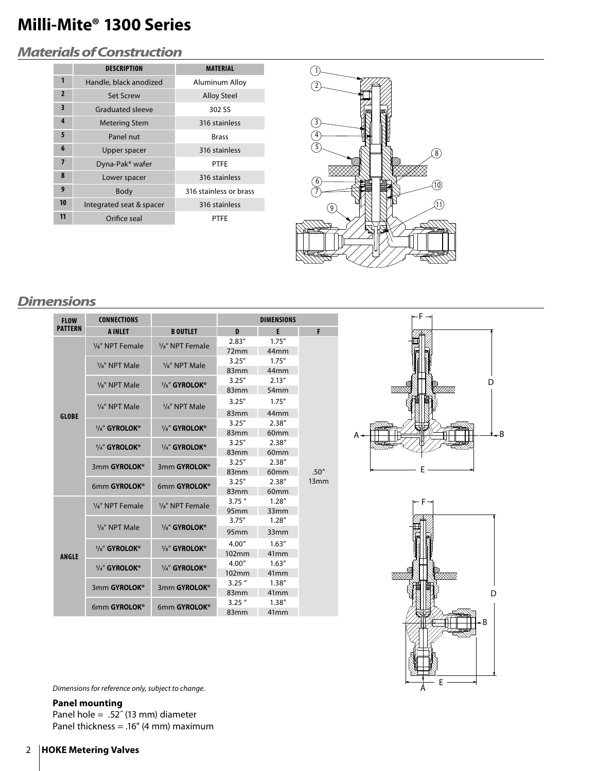# **Milli-Mite® 1300 Series**

# *Materials of Construction*

|                         | <b>DESCRIPTION</b>          | <b>MATERIAL</b>        |
|-------------------------|-----------------------------|------------------------|
| 1                       | Handle, black anodized      | Aluminum Alloy         |
| $\overline{2}$          | <b>Set Screw</b>            | <b>Alloy Steel</b>     |
| $\overline{\mathbf{3}}$ | <b>Graduated sleeve</b>     | 302 SS                 |
| 4                       | <b>Metering Stem</b>        | 316 stainless          |
| 5                       | Panel nut                   | <b>Brass</b>           |
| 6                       | Upper spacer                | 316 stainless          |
| $\overline{7}$          | Dyna-Pak <sup>®</sup> wafer | <b>PTFF</b>            |
| 8                       | Lower spacer                | 316 stainless          |
| 9                       | Body                        | 316 stainless or brass |
| 10                      | Integrated seat & spacer    | 316 stainless          |
| 11                      | Orifice seal                | PTFF                   |



# *Dimensions*

| <b>FLOW</b>    | <b>CONNECTIONS</b>         |                                                                                                                                                                                                                                                                                                                                                                                                                                            |                  | <b>DIMENSIONS</b> |               |  |
|----------------|----------------------------|--------------------------------------------------------------------------------------------------------------------------------------------------------------------------------------------------------------------------------------------------------------------------------------------------------------------------------------------------------------------------------------------------------------------------------------------|------------------|-------------------|---------------|--|
| <b>PATTERN</b> | <b>A INLET</b>             | <b>B OUTLET</b><br>$\frac{1}{8}$ " NPT Female<br>$\frac{1}{8}$ " NPT Female<br>$\frac{1}{8}$ " NPT Male<br>1/ <sub>8</sub> " NPT Male<br>1/ <sub>8</sub> " GYROLOK®<br>1/4" NPT Male<br>1/ <sub>8</sub> " GYROLOK®<br>$\frac{1}{4}$ " GYROLOK®<br>3mm GYROLOK®<br>6mm GYROLOK®<br>$\frac{1}{8}$ " NPT Female<br>1/ <sub>8</sub> " GYROLOK®<br>1/ <sub>8</sub> " GYROLOK®<br>1/8" GYROLOK®<br>1/4" GYROLOK®<br>3mm GYROLOK®<br>6mm GYROLOK® | D                | E                 | F             |  |
|                |                            |                                                                                                                                                                                                                                                                                                                                                                                                                                            | 2.83''           | 1.75''            |               |  |
|                |                            |                                                                                                                                                                                                                                                                                                                                                                                                                                            | 72mm             | 44 <sub>mm</sub>  |               |  |
|                |                            |                                                                                                                                                                                                                                                                                                                                                                                                                                            | 3.25''           | 1.75''            |               |  |
|                |                            |                                                                                                                                                                                                                                                                                                                                                                                                                                            | 83mm             | 44mm              |               |  |
|                | $\frac{1}{8}$ " NPT Male   |                                                                                                                                                                                                                                                                                                                                                                                                                                            | 3.25''           | 2.13''            |               |  |
|                |                            |                                                                                                                                                                                                                                                                                                                                                                                                                                            | 83 <sub>mm</sub> | 54 <sub>mm</sub>  |               |  |
|                | 1/4" NPT Male              |                                                                                                                                                                                                                                                                                                                                                                                                                                            | 3.25''           | 1.75''            |               |  |
| <b>GLOBE</b>   |                            |                                                                                                                                                                                                                                                                                                                                                                                                                                            | 83mm             | 44mm              |               |  |
|                | 1/ <sub>8</sub> " GYROLOK® |                                                                                                                                                                                                                                                                                                                                                                                                                                            | 3.25''           | 2.38"             |               |  |
|                |                            |                                                                                                                                                                                                                                                                                                                                                                                                                                            | 83mm             | 60 <sub>mm</sub>  |               |  |
|                | 1/4" GYROLOK®              |                                                                                                                                                                                                                                                                                                                                                                                                                                            | 3.25''           | 2.38''            |               |  |
|                |                            |                                                                                                                                                                                                                                                                                                                                                                                                                                            | 83 <sub>mm</sub> | 60 <sub>mm</sub>  |               |  |
|                | 3mm GYROLOK®               |                                                                                                                                                                                                                                                                                                                                                                                                                                            | 3.25''           | 2.38''            |               |  |
|                |                            |                                                                                                                                                                                                                                                                                                                                                                                                                                            | 83mm             | 60 <sub>mm</sub>  | .50''<br>13mm |  |
|                | 6mm GYROLOK®               |                                                                                                                                                                                                                                                                                                                                                                                                                                            | 3.25''           | 2.38''            |               |  |
|                |                            |                                                                                                                                                                                                                                                                                                                                                                                                                                            | 83mm             | 60 <sub>mm</sub>  |               |  |
|                | $\frac{1}{8}$ " NPT Female |                                                                                                                                                                                                                                                                                                                                                                                                                                            | $3.75$ "         | 1.28''            |               |  |
|                |                            |                                                                                                                                                                                                                                                                                                                                                                                                                                            | 95mm             | 33mm              |               |  |
|                | 1/ <sub>8</sub> " NPT Male |                                                                                                                                                                                                                                                                                                                                                                                                                                            | 3.75''           | 1.28''            |               |  |
|                |                            |                                                                                                                                                                                                                                                                                                                                                                                                                                            | 95 <sub>mm</sub> | 33mm              |               |  |
|                |                            |                                                                                                                                                                                                                                                                                                                                                                                                                                            | 4.00''           | 1.63''            |               |  |
| <b>ANGLE</b>   |                            |                                                                                                                                                                                                                                                                                                                                                                                                                                            | 102mm            | 41 <sub>mm</sub>  |               |  |
|                | 1/4" GYROLOK®              |                                                                                                                                                                                                                                                                                                                                                                                                                                            | 4.00''           | 1.63''            |               |  |
|                |                            |                                                                                                                                                                                                                                                                                                                                                                                                                                            | 102mm            | 41 <sub>mm</sub>  |               |  |
|                | 3mm GYROLOK®               |                                                                                                                                                                                                                                                                                                                                                                                                                                            | $3.25$ "         | 1.38''            |               |  |
|                |                            |                                                                                                                                                                                                                                                                                                                                                                                                                                            | 83mm             | 41 <sub>mm</sub>  |               |  |
|                | 6mm GYROLOK®               |                                                                                                                                                                                                                                                                                                                                                                                                                                            | $3.25$ "         | 1.38''            |               |  |
|                |                            |                                                                                                                                                                                                                                                                                                                                                                                                                                            | 83mm             | 41 <sub>mm</sub>  |               |  |





Dimensions for reference only, subject to change.

**Panel mounting** Panel hole = .52 $^{\prime\prime}$  (13 mm) diameter Panel thickness = .16" (4 mm) maximum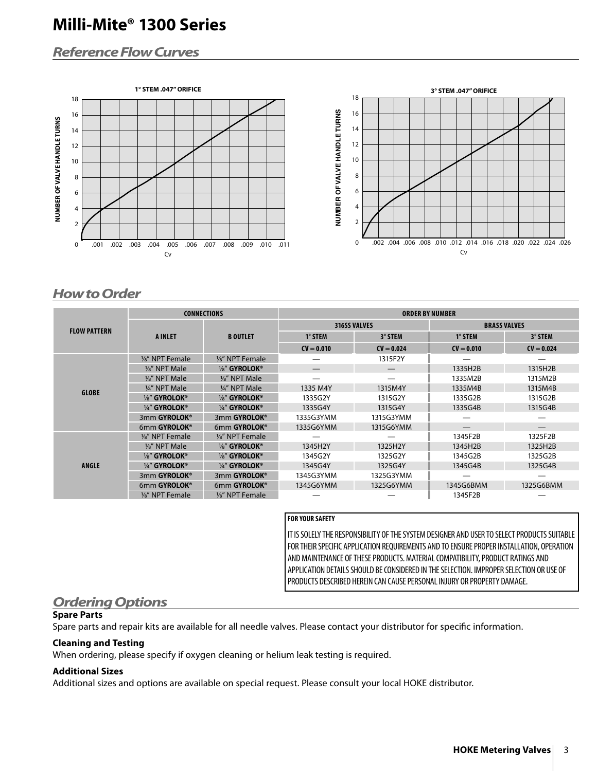# **Milli-Mite® 1300 Series**

# *Reference Flow Curves*





# *How to Order*

|                     |                 | <b>CONNECTIONS</b> | <b>ORDER BY NUMBER</b> |                     |                     |              |  |  |
|---------------------|-----------------|--------------------|------------------------|---------------------|---------------------|--------------|--|--|
|                     |                 |                    |                        | <b>316SS VALVES</b> | <b>BRASS VALVES</b> |              |  |  |
| <b>FLOW PATTERN</b> | <b>A INLET</b>  | <b>B OUTLET</b>    | $1^\circ$ STEM         | 3° STEM             | $1^\circ$ STEM      | 3° STEM      |  |  |
|                     |                 |                    | $CV = 0.010$           | $CV = 0.024$        | $CV = 0.010$        | $CV = 0.024$ |  |  |
|                     | 1/8" NPT Female | 1/8" NPT Female    |                        | 1315F2Y             |                     |              |  |  |
|                     | 1/8" NPT Male   | 1/8" GYROLOK®      | —                      | —                   | 1335H2B             | 1315H2B      |  |  |
|                     | 1/8" NPT Male   | 1/8" NPT Male      | —                      |                     | 1335M2B             | 1315M2B      |  |  |
|                     | 1/4" NPT Male   | 1/4" NPT Male      | 1335 M4Y               | 1315M4Y             | 1335M4B             | 1315M4B      |  |  |
| <b>GLOBE</b>        | 1/8" GYROLOK®   | 1/8" GYROLOK®      | 1335G2Y                | 1315G2Y             | 1335G2B             | 1315G2B      |  |  |
|                     | 1/4" GYROLOK®   | 1/4" GYROLOK®      | 1335G4Y                | 1315G4Y             | 1335G4B             | 1315G4B      |  |  |
|                     | 3mm GYROLOK®    | 3mm GYROLOK®       | 1335G3YMM              | 1315G3YMM           |                     |              |  |  |
|                     | 6mm GYROLOK®    | 6mm GYROLOK®       | 1335G6YMM              | 1315G6YMM           |                     |              |  |  |
|                     | 1/8" NPT Female | 1/8" NPT Female    |                        |                     | 1345F2B             | 1325F2B      |  |  |
|                     | 1/8" NPT Male   | 1/8" GYROLOK®      | 1345H2Y                | 1325H2Y             | 1345H2B             | 1325H2B      |  |  |
|                     | 1/8" GYROLOK®   | 1/8" GYROLOK®      | 1345G2Y                | 1325G2Y             | 1345G2B             | 1325G2B      |  |  |
| <b>ANGLE</b>        | 1/4" GYROLOK®   | 1/4" GYROLOK®      | 1345G4Y                | 1325G4Y             | 1345G4B             | 1325G4B      |  |  |
|                     | 3mm GYROLOK®    | 3mm GYROLOK®       | 1345G3YMM              | 1325G3YMM           |                     |              |  |  |
|                     | 6mm GYROLOK®    | 6mm GYROLOK®       | 1345G6YMM              | 1325G6YMM           | 1345G6BMM           | 1325G6BMM    |  |  |
|                     | 1/8" NPT Female | 1/8" NPT Female    |                        |                     | 1345F2B             |              |  |  |

#### **FOR YOUR SAFETY**

IT IS SOLELY THE RESPONSIBILITY OF THE SYSTEM DESIGNER AND USER TO SELECT PRODUCTS SUITABLE FOR THEIR SPECIFIC APPLICATION REQUIREMENTS AND TO ENSURE PROPER INSTALLATION, OPERATION AND MAINTENANCE OF THESE PRODUCTS. MATERIAL COMPATIBILITY, PRODUCT RATINGS AND APPLICATION DETAILS SHOULD BE CONSIDERED IN THE SELECTION. IMPROPER SELECTION OR USE OF PRODUCTS DESCRIBED HEREIN CAN CAUSE PERSONAL INJURY OR PROPERTY DAMAGE.

# *Ordering Options*

#### **Spare Parts**

Spare parts and repair kits are available for all needle valves. Please contact your distributor for specific information.

#### **Cleaning and Testing**

When ordering, please specify if oxygen cleaning or helium leak testing is required.

#### **Additional Sizes**

Additional sizes and options are available on special request. Please consult your local HOKE distributor.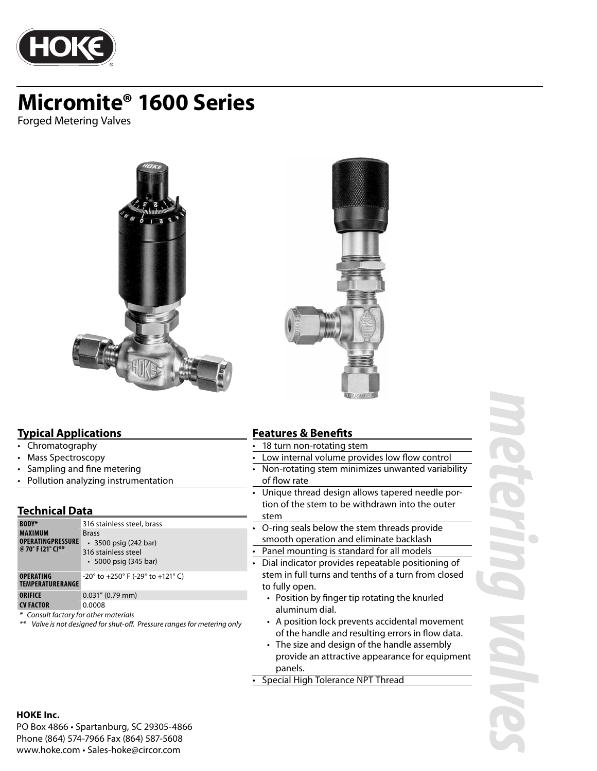

Forged Metering Valves



#### **Typical Applications**

- Chromatography
- Mass Spectroscopy
- Sampling and fine metering
- Pollution analyzing instrumentation

#### **Technical Data**

| <b>BODY*</b>                                                    | 316 stainless steel, brass                                                                        |
|-----------------------------------------------------------------|---------------------------------------------------------------------------------------------------|
| <b>MAXIMUM</b><br><b>OPERATINGPRESSURE</b><br>@ 70° F (21° C)** | <b>Brass</b><br>$\cdot$ 3500 psig (242 bar)<br>316 stainless steel<br>$\cdot$ 5000 psig (345 bar) |
| <b>OPERATING</b><br><b>TEMPERATURERANGE</b>                     | $-20^{\circ}$ to $+250^{\circ}$ F (-29° to $+121^{\circ}$ C)                                      |
| <b>ORIFICE</b>                                                  | $0.031''$ (0.79 mm)                                                                               |
| <b>CV FACTOR</b>                                                | 0.0008                                                                                            |
| * Consult factory for other materials                           |                                                                                                   |

#### \*\* Valve is not designed for shut-off. Pressure ranges for metering only

### **Features & Benefits**

- 18 turn non-rotating stem
- Low internal volume provides low flow control
- Non-rotating stem minimizes unwanted variability of flow rate
- Unique thread design allows tapered needle portion of the stem to be withdrawn into the outer stem
- O-ring seals below the stem threads provide smooth operation and eliminate backlash
- Panel mounting is standard for all models
- Dial indicator provides repeatable positioning of stem in full turns and tenths of a turn from closed to fully open.
	- Position by finger tip rotating the knurled aluminum dial.
	- A position lock prevents accidental movement of the handle and resulting errors in flow data.
	- The size and design of the handle assembly provide an attractive appearance for equipment panels.

• Special High Tolerance NPT Thread

#### **HOKE Inc.**

PO Box 4866 • Spartanburg, SC 29305-4866 Phone (864) 574-7966 Fax (864) 587-5608 www.hoke.com • Sales-hoke@circor.com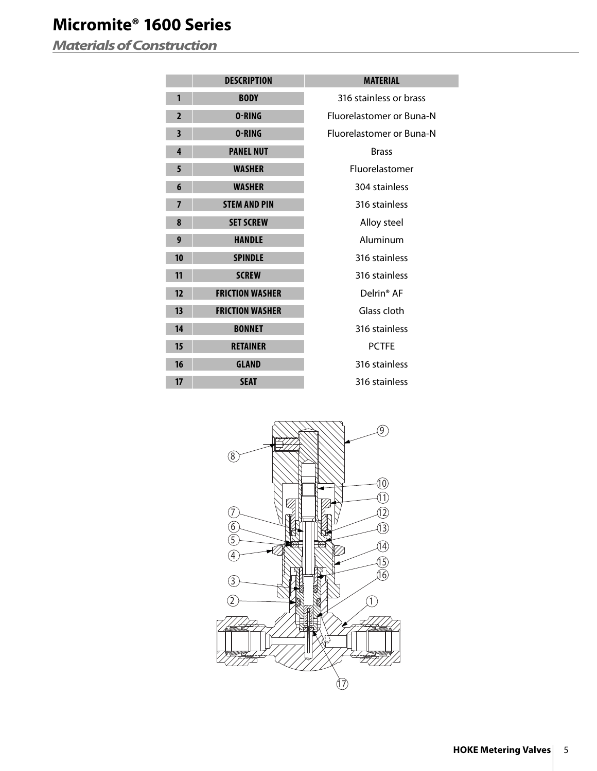*Materials of Construction*

|                         | <b>DESCRIPTION</b>     | <b>MATERIAL</b>          |
|-------------------------|------------------------|--------------------------|
| 1                       | <b>BODY</b>            | 316 stainless or brass   |
| $\overline{2}$          | 0-RING                 | Fluorelastomer or Buna-N |
| $\overline{\mathbf{3}}$ | 0-RING                 | Fluorelastomer or Buna-N |
| 4                       | <b>PANEL NUT</b>       | <b>Brass</b>             |
| 5                       | <b>WASHER</b>          | Fluorelastomer           |
| 6                       | <b>WASHER</b>          | 304 stainless            |
| $\overline{7}$          | <b>STEM AND PIN</b>    | 316 stainless            |
| 8                       | <b>SET SCREW</b>       | Alloy steel              |
| 9                       | <b>HANDLE</b>          | Aluminum                 |
| 10                      | <b>SPINDLE</b>         | 316 stainless            |
| 11                      | <b>SCREW</b>           | 316 stainless            |
| 12                      | <b>FRICTION WASHER</b> | Delrin <sup>®</sup> AF   |
| 13                      | <b>FRICTION WASHER</b> | Glass cloth              |
| 14                      | <b>BONNET</b>          | 316 stainless            |
| 15                      | <b>RETAINER</b>        | <b>PCTFE</b>             |
| 16                      | <b>GLAND</b>           | 316 stainless            |
| 17                      | <b>SEAT</b>            | 316 stainless            |
|                         |                        |                          |

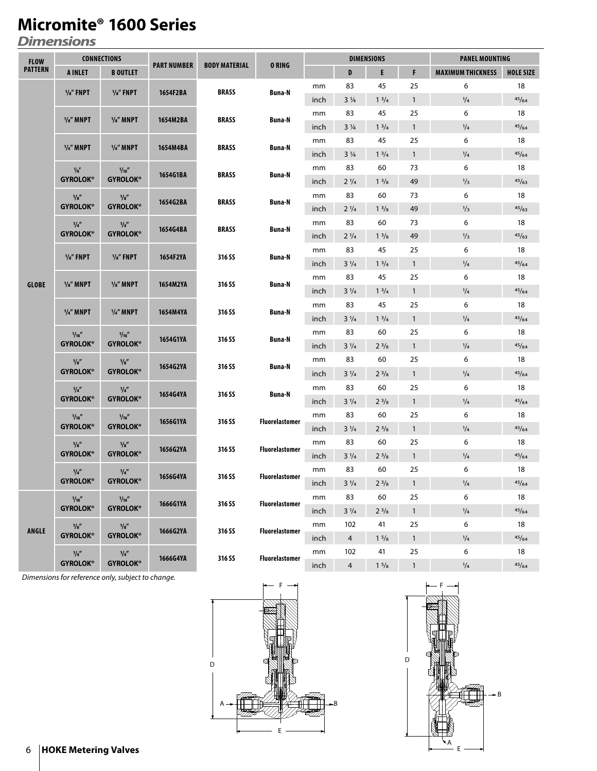*Dimensions*

| <b>FLOW</b>    | <b>CONNECTIONS</b><br><b>PART NUMBER</b><br><b>BODY MATERIAL</b> |                          |          |              | <b>DIMENSIONS</b>     |      |                |                 | <b>PANEL MOUNTING</b> |                          |                  |       |
|----------------|------------------------------------------------------------------|--------------------------|----------|--------------|-----------------------|------|----------------|-----------------|-----------------------|--------------------------|------------------|-------|
| <b>PATTERN</b> | <b>A INLET</b>                                                   | <b>B OUTLET</b>          |          |              | <b>ORING</b>          |      | D              | E               | F                     | <b>MAXIMUM THICKNESS</b> | <b>HOLE SIZE</b> |       |
|                |                                                                  |                          |          | <b>BRASS</b> |                       | mm   | 83             | 45              | 25                    | 6                        | 18               |       |
|                | $\frac{1}{8}$ FNPT                                               | $\frac{1}{8}$ FNPT       | 1654F2BA |              | <b>Buna-N</b>         | inch | $3\frac{1}{4}$ | $1^{3}/4$       | $\mathbf{1}$          | $^{1/4}$                 | 45/64            |       |
|                |                                                                  |                          |          |              |                       | mm   | 83             | 45              | 25                    | 6                        | 18               |       |
|                | $\frac{1}{8}$ " MNPT                                             | $\frac{1}{8}$ MNPT       | 1654M2BA | <b>BRASS</b> | <b>Buna-N</b>         | inch | $3\frac{1}{4}$ | $1 \frac{3}{4}$ | $\mathbf{1}$          | $^{1/4}$                 | 45/64            |       |
|                | $\frac{1}{4}$ MNPT                                               | $1/4$ " MNPT             | 1654M4BA | <b>BRASS</b> | Buna-N                | mm   | 83             | 45              | 25                    | 6                        | 18               |       |
|                |                                                                  |                          |          |              |                       | inch | $3\frac{1}{4}$ | $1 \frac{3}{4}$ | $\mathbf{1}$          | $\frac{1}{4}$            | 45/64            |       |
|                | $\frac{1}{16}$                                                   | 1/16''                   | 1654G1BA | <b>BRASS</b> | <b>Buna-N</b>         | mm   | 83             | 60              | 73                    | 6                        | 18               |       |
|                | <b>GYROLOK®</b>                                                  | <b>GYROLOK®</b>          |          |              |                       | inch | $2\frac{1}{4}$ | $1 \frac{3}{8}$ | 49                    | $\frac{1}{3}$            | 45/63            |       |
|                | $\frac{1}{8}$                                                    | 1/8''                    | 1654G2BA | <b>BRASS</b> |                       | mm   | 83             | 60              | 73                    | 6                        | 18               |       |
|                | <b>GYROLOK®</b>                                                  | <b>GYROLOK®</b>          |          |              | <b>Buna-N</b>         | inch | $2\frac{1}{4}$ | $1 \frac{3}{8}$ | 49                    | 1/3                      | 45/63            |       |
|                | 1/4''                                                            | 1/4''<br><b>GYROLOK®</b> | 1654G4BA | <b>BRASS</b> | Buna-N                | mm   | 83             | 60              | 73                    | 6                        | 18               |       |
|                | <b>GYROLOK®</b>                                                  |                          |          |              |                       | inch | $2\frac{1}{4}$ | $1 \frac{3}{8}$ | 49                    | $\frac{1}{3}$            | 45/63            |       |
|                | $\frac{1}{8}$ FNPT                                               | $\frac{1}{8}$ FNPT       | 1654F2YA | 316 SS       | <b>Buna-N</b>         | mm   | 83             | 45              | 25                    | 6                        | 18               |       |
|                |                                                                  |                          |          |              |                       | inch | $3\frac{1}{4}$ | $1 \frac{3}{4}$ | $\mathbf{1}$          | $\frac{1}{4}$            | 45/64            |       |
|                | $\frac{1}{8}$ " MNPT                                             | $\frac{1}{8}$ MNPT       |          |              |                       | mm   | 83             | 45              | 25                    | 6                        | 18               |       |
| <b>GLOBE</b>   |                                                                  |                          | 1654M2YA | 316 SS       | Buna-N                | inch | $3\frac{1}{4}$ | $1 \frac{3}{4}$ | $\mathbf{1}$          | $\frac{1}{4}$            | 45/64            |       |
|                | $1/4$ " MNPT<br>$1/4$ " MNPT                                     |                          | 1654M4YA | 316 SS       | Buna-N                | mm   | 83             | 45              | 25                    | 6                        | 18               |       |
|                |                                                                  |                          |          |              |                       | inch | $3\frac{1}{4}$ | $1 \frac{3}{4}$ | $\mathbf{1}$          | $\frac{1}{4}$            | 45/64            |       |
|                | 1/16''<br>1/16''                                                 |                          | 1654G1YA | 316 SS       | Buna-N                | mm   | 83             | 60              | 25                    | 6                        | 18               |       |
|                | <b>GYROLOK®</b>                                                  | <b>GYROLOK®</b>          |          |              |                       | inch | $3\frac{1}{4}$ | $2^{3}/8$       | $\mathbf{1}$          | $\frac{1}{4}$            | 45/64            |       |
|                | $\frac{1}{8}$                                                    | $\frac{1}{8}$            | 1654G2YA | 316 SS       | <b>Buna-N</b>         | mm   | 83             | 60              | 25                    | 6                        | 18               |       |
|                | <b>GYROLOK®</b>                                                  | <b>GYROLOK®</b>          |          |              |                       | inch | $3\frac{1}{4}$ | $2^{3}/8$       | $\mathbf{1}$          | $\frac{1}{4}$            | 45/64            |       |
|                | 1/4''                                                            | 1/4''                    | 1654G4YA | 316 SS       | <b>Buna-N</b>         | mm   | 83             | 60              | 25                    | 6                        | 18               |       |
|                | <b>GYROLOK®</b>                                                  | <b>GYROLOK®</b>          |          |              |                       | inch | $3\frac{1}{4}$ | $2^{3}/8$       | $\mathbf{1}$          | $\frac{1}{4}$            | 45/64            |       |
|                | 1/16''                                                           | 1/16''                   | 1656G1YA | 316 SS       | <b>Fluorelastomer</b> | mm   | 83             | 60              | 25                    | 6                        | 18               |       |
|                | <b>GYROLOK®</b>                                                  | <b>GYROLOK®</b>          |          |              |                       | inch | $3\frac{1}{4}$ | $2^{3}/8$       | $\mathbf{1}$          | $\frac{1}{4}$            | 45/64            |       |
|                | $\frac{1}{8}$                                                    | $\frac{1}{8}$            | 1656G2YA | 316 SS       | <b>Fluorelastomer</b> | mm   | 83             | 60              | 25                    | 6                        | 18               |       |
|                | <b>GYROLOK®</b>                                                  | <b>GYROLOK®</b>          |          |              |                       | inch | $3\frac{1}{4}$ | $2^{3}/8$       | $\mathbf{1}$          | $\frac{1}{4}$            | 45/64            |       |
|                | 1/4''                                                            | 1/4''                    | 1656G4YA | 316 SS       | <b>Fluorelastomer</b> | mm   | 83             | 60              | 25                    | 6                        | 18               |       |
|                | <b>GYROLOK®</b>                                                  | <b>GYROLOK®</b>          |          |              |                       | inch | $3\frac{1}{4}$ | $2^{3}/8$       | $\mathbf{1}$          | 1/4                      | 45/64            |       |
|                | 1/16''                                                           | 1/16''                   | 1666G1YA | 316 SS       | <b>Fluorelastomer</b> | mm   | 83             | 60              | 25                    | 6                        | 18               |       |
|                | <b>GYROLOK®</b>                                                  | <b>GYROLOK®</b>          |          |              |                       | inch | $3\frac{1}{4}$ | $2^{3}/8$       | $\mathbf{1}$          | $\frac{1}{4}$            | 45/64            |       |
| <b>ANGLE</b>   | 1/s''                                                            | 1/8''                    | 1666G2YA | 316 SS       | <b>Fluorelastomer</b> | mm   | 102            | 41              | 25                    | 6                        | 18               |       |
|                | <b>GYROLOK®</b>                                                  | <b>GYROLOK®</b>          |          |              |                       | inch | $\overline{4}$ | $1 \frac{5}{8}$ | $\mathbf{1}$          | $\frac{1}{4}$            | 45/64            |       |
|                | 1/4''                                                            | 1/4''                    |          |              | <b>Fluorelastomer</b> | mm   | 102            | 41              | 25                    | 6                        | 18               |       |
|                | <b>GYROLOK®</b>                                                  | <b>GYROLOK®</b>          | 1666G4YA | 316 SS       |                       |      | inch           | $\overline{4}$  | $1\frac{5}{8}$        | $\mathbf{1}$             | $\frac{1}{4}$    | 45/64 |

Dimensions for reference only, subject to change.



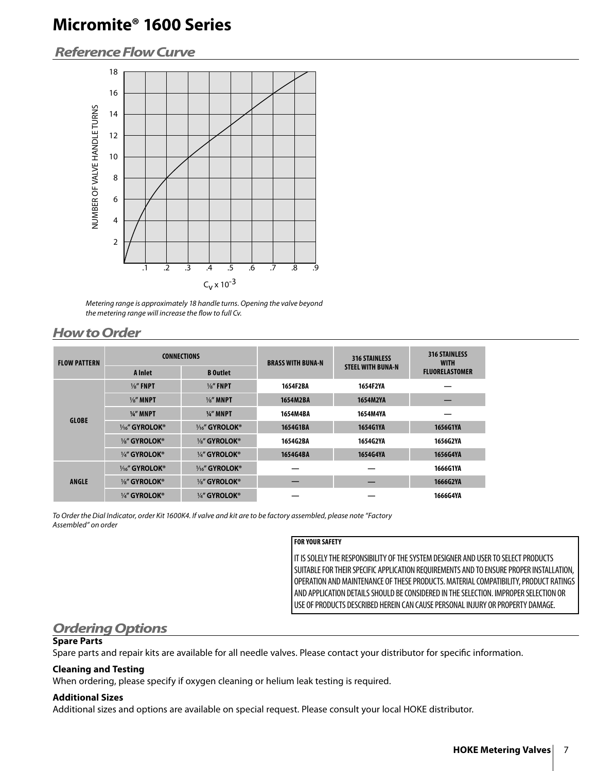# *Reference Flow Curve*



Metering range is approximately 18 handle turns. Opening the valve beyond the metering range will increase the flow to full Cv.

# *How to Order*

| <b>FLOW PATTERN</b><br><b>GLOBE</b> |                      | <b>CONNECTIONS</b>   | <b>BRASS WITH BUNA-N</b> | <b>316 STAINLESS</b>     | <b>316 STAINLESS</b><br><b>WITH</b> |
|-------------------------------------|----------------------|----------------------|--------------------------|--------------------------|-------------------------------------|
|                                     | A Inlet              | <b>B</b> Outlet      |                          | <b>STEEL WITH BUNA-N</b> | <b>FLUORELASTOMER</b>               |
|                                     | $\frac{1}{8}$ " FNPT | $\frac{1}{8}$ " FNPT | 1654F2BA                 | 1654F2YA                 |                                     |
|                                     | $\frac{1}{8}$ " MNPT | $\frac{1}{8}$ " MNPT | 1654M2BA                 | 1654M2YA                 |                                     |
|                                     | $\frac{1}{4}$ MNPT   | $\frac{1}{4}$ MNPT   | 1654M4BA                 | 1654M4YA                 |                                     |
|                                     | $V_{16}$ " GYROLOK®  | $V_{16}$ " GYROLOK®  | 1654G1BA                 | 1654G1YA                 | 1656G1YA                            |
|                                     | 1/8" GYROLOK®        | 1/8" GYROLOK®        | 1654G2BA                 | 1654G2YA                 | 1656G2YA                            |
|                                     | 1/4" GYROLOK®        | 1/4" GYROLOK®        | 1654G4BA                 | 1654G4YA                 | 1656G4YA                            |
|                                     | 1/16" GYROLOK®       | 1/16" GYROLOK®       |                          |                          | 1666G1YA                            |
| <b>ANGLE</b>                        | 1/8" GYROLOK®        | 1/8" GYROLOK®        |                          |                          | 1666G2YA                            |
|                                     | 1/4" GYROLOK®        | 1/4" GYROLOK®        |                          |                          | 1666G4YA                            |

To Order the Dial Indicator, order Kit 1600K4. If valve and kit are to be factory assembled, please note "Factory Assembled" on order

#### **FOR YOUR SAFETY**

IT IS SOLELY THE RESPONSIBILITY OF THE SYSTEM DESIGNER AND USER TO SELECT PRODUCTS SUITABLE FOR THEIR SPECIFIC APPLICATION REQUIREMENTS AND TO ENSURE PROPER INSTALLATION, OPERATION AND MAINTENANCE OF THESE PRODUCTS. MATERIAL COMPATIBILITY, PRODUCT RATINGS AND APPLICATION DETAILS SHOULD BE CONSIDERED IN THE SELECTION. IMPROPER SELECTION OR USE OF PRODUCTS DESCRIBED HEREIN CAN CAUSE PERSONAL INJURY OR PROPERTY DAMAGE.

# *Ordering Options*

### **Spare Parts**

Spare parts and repair kits are available for all needle valves. Please contact your distributor for specific information.

#### **Cleaning and Testing**

When ordering, please specify if oxygen cleaning or helium leak testing is required.

#### **Additional Sizes**

Additional sizes and options are available on special request. Please consult your local HOKE distributor.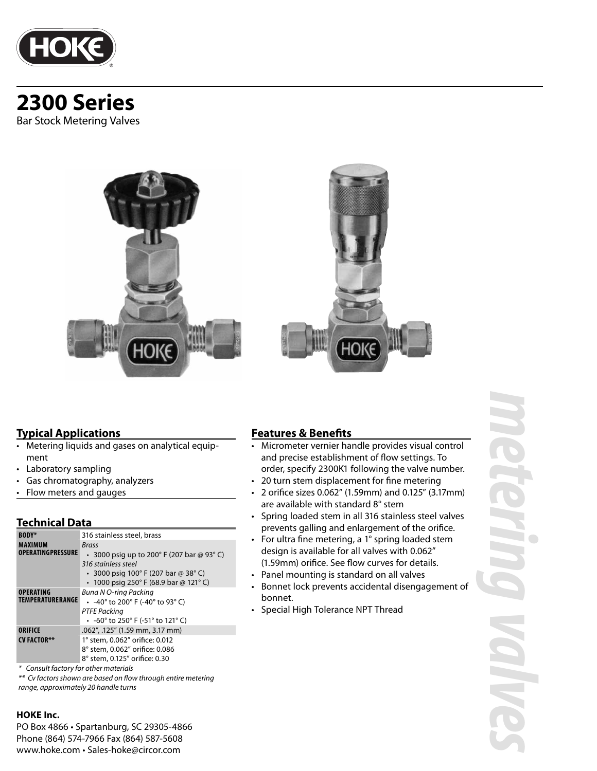

# **2300 Series** Bar Stock Metering Valves





### **Typical Applications**

- Metering liquids and gases on analytical equipment
- Laboratory sampling
- Gas chromatography, analyzers
- Flow meters and gauges

### **Technical Data**

| <b>BODY*</b>                         | 316 stainless steel, brass                                                                                                                                                    |
|--------------------------------------|-------------------------------------------------------------------------------------------------------------------------------------------------------------------------------|
| MAXIMUM<br><b>OPERATINGPRESSURE</b>  | Brass<br>• 3000 psig up to 200 $^{\circ}$ F (207 bar @ 93 $^{\circ}$ C)<br>316 stainless steel<br>• 3000 psig 100° F (207 bar @ 38° C)<br>1000 psig 250° F (68.9 bar @ 121°C) |
| <b>OPERATING</b><br>TEMPERATURERANGE | <b>Buna N O-ring Packing</b><br>• $-40^{\circ}$ to 200 $^{\circ}$ F (-40 $^{\circ}$ to 93 $^{\circ}$ C)<br><b>PTFE Packing</b><br>• -60° to 250° F (-51° to 121° C)           |
| ORIFICE<br><b>CV FACTOR**</b>        | .062", .125" (1.59 mm, 3.17 mm)<br>1° stem, 0.062" orifice: 0.012<br>8° stem, 0.062" orifice: 0.086<br>8° stem, 0.125" orifice: 0.30                                          |

\* Consult factory for other materials

\*\* Cv factors shown are based on flow through entire metering range, approximately 20 handle turns

#### **HOKE Inc.**

PO Box 4866 • Spartanburg, SC 29305-4866 Phone (864) 574-7966 Fax (864) 587-5608 www.hoke.com • Sales-hoke@circor.com

# **Features & Benefits**

- Micrometer vernier handle provides visual control and precise establishment of flow settings. To order, specify 2300K1 following the valve number.
- 20 turn stem displacement for fine metering
- 2 orifi ce sizes 0.062" (1.59mm) and 0.125" (3.17mm) are available with standard 8° stem
- Spring loaded stem in all 316 stainless steel valves prevents galling and enlargement of the orifice.
- For ultra fine metering, a  $1^\circ$  spring loaded stem design is available for all valves with 0.062" (1.59mm) orifice. See flow curves for details.
- Panel mounting is standard on all valves
- Bonnet lock prevents accidental disengagement of bonnet.
- Special High Tolerance NPT Thread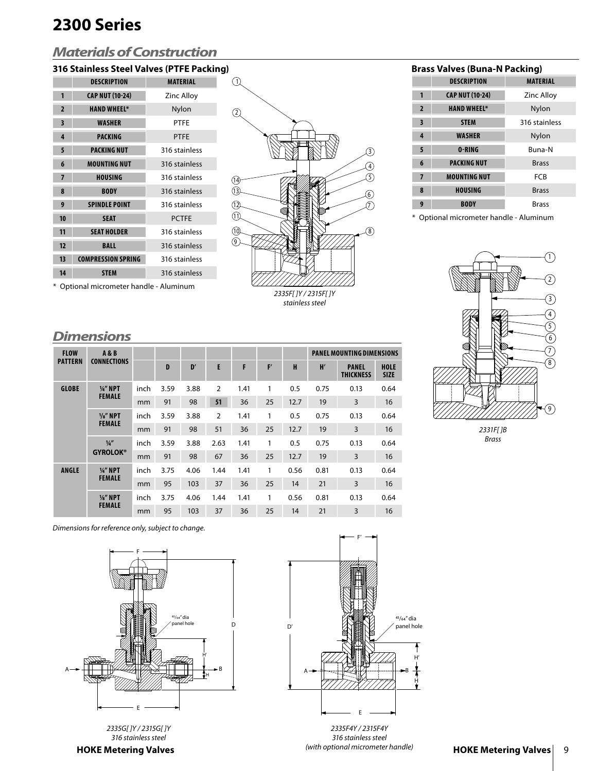# **2300 Series**

# *Materials of Construction*

# **316 Stainless Steel Valves (PTFE Packing) Brass Valves (Buna-N Packing)**

|                | <b>DESCRIPTION</b>        | <b>MATERIAL</b>   |
|----------------|---------------------------|-------------------|
| 1              | <b>CAP NUT (10-24)</b>    | <b>Zinc Alloy</b> |
| $\overline{2}$ | <b>HAND WHEEL*</b>        | Nylon             |
| 3              | <b>WASHER</b>             | <b>PTFE</b>       |
| 4              | <b>PACKING</b>            | <b>PTFE</b>       |
| 5              | <b>PACKING NUT</b>        | 316 stainless     |
| 6              | <b>MOUNTING NUT</b>       | 316 stainless     |
| $\overline{7}$ | <b>HOUSING</b>            | 316 stainless     |
| 8              | <b>BODY</b>               | 316 stainless     |
| 9              | <b>SPINDLE POINT</b>      | 316 stainless     |
| 10             | <b>SEAT</b>               | <b>PCTFE</b>      |
| 11             | <b>SEAT HOLDER</b>        | 316 stainless     |
| 12             | <b>BALL</b>               | 316 stainless     |
| 13             | <b>COMPRESSION SPRING</b> | 316 stainless     |
| 14             | <b>STEM</b>               | 316 stainless     |
|                |                           |                   |



|                         | <b>DESCRIPTION</b>     | <b>MATERIAL</b>   |
|-------------------------|------------------------|-------------------|
| 1                       | <b>CAP NUT (10-24)</b> | <b>Zinc Alloy</b> |
| $\overline{2}$          | <b>HAND WHEEL*</b>     | Nylon             |
| $\overline{\mathbf{3}}$ | <b>STEM</b>            | 316 stainless     |
| $\overline{4}$          | <b>WASHER</b>          | Nylon             |
| 5                       | 0-RING                 | <b>Buna-N</b>     |
| 6                       | <b>PACKING NUT</b>     | <b>Brass</b>      |
| $\overline{7}$          | <b>MOUNTING NUT</b>    | FCB               |
| 8                       | <b>HOUSING</b>         | <b>Brass</b>      |
| 9                       | <b>BODY</b>            | <b>Brass</b>      |

\* Optional micrometer handle - Aluminum



2331F[ ]B Brass

\* Optional micrometer handle - Aluminum

### *Dimensions*

| <b>FLOW</b>    | <b>A&amp;B</b>                   |      |              |      |                |      |    |      | <b>PANEL MOUNTING DIMENSIONS</b> |                                  |                            |
|----------------|----------------------------------|------|--------------|------|----------------|------|----|------|----------------------------------|----------------------------------|----------------------------|
| <b>PATTERN</b> | <b>CONNECTIONS</b>               |      | $\mathbf{D}$ | D'   | E              | F    | F' | H    | H'                               | <b>PANEL</b><br><b>THICKNESS</b> | <b>HOLE</b><br><b>SIZE</b> |
| <b>GLOBE</b>   | $1/4''$ NPT                      | inch | 3.59         | 3.88 | $\overline{2}$ | 1.41 | 1  | 0.5  | 0.75                             | 0.13                             | 0.64                       |
|                | <b>FEMALE</b>                    | mm   | 91           | 98   | 51             | 36   | 25 | 12.7 | 19                               | 3                                | 16                         |
|                | $\frac{1}{8}$ " NPT              | inch | 3.59         | 3.88 | $\overline{2}$ | 1.41 | 1  | 0.5  | 0.75                             | 0.13                             | 0.64                       |
|                | <b>FEMALE</b>                    | mm   | 91           | 98   | 51             | 36   | 25 | 12.7 | 19                               | 3                                | 16                         |
|                | $\frac{1}{4}$<br><b>GYROLOK®</b> | inch | 3.59         | 3.88 | 2.63           | 1.41 | 1  | 0.5  | 0.75                             | 0.13                             | 0.64                       |
|                |                                  | mm   | 91           | 98   | 67             | 36   | 25 | 12.7 | 19                               | 3                                | 16                         |
| <b>ANGLE</b>   | $\frac{1}{4}$ NPT                | inch | 3.75         | 4.06 | 1.44           | 1.41 | 1  | 0.56 | 0.81                             | 0.13                             | 0.64                       |
|                | <b>FEMALE</b>                    | mm   | 95           | 103  | 37             | 36   | 25 | 14   | 21                               | 3                                | 16                         |
|                | $\frac{1}{8}$ " NPT              | inch | 3.75         | 4.06 | 1.44           | 1.41 | 1  | 0.56 | 0.81                             | 0.13                             | 0.64                       |
|                | <b>FEMALE</b>                    | mm   | 95           | 103  | 37             | 36   | 25 | 14   | 21                               | 3                                | 16                         |

Dimensions for reference only, subject to change.



2335G[ ]Y / 2315G[ ]Y 316 stainless steel

**HOKE Metering Valves**



2335F4Y / 2315F4Y 316 stainless steel (with optional micrometer handle)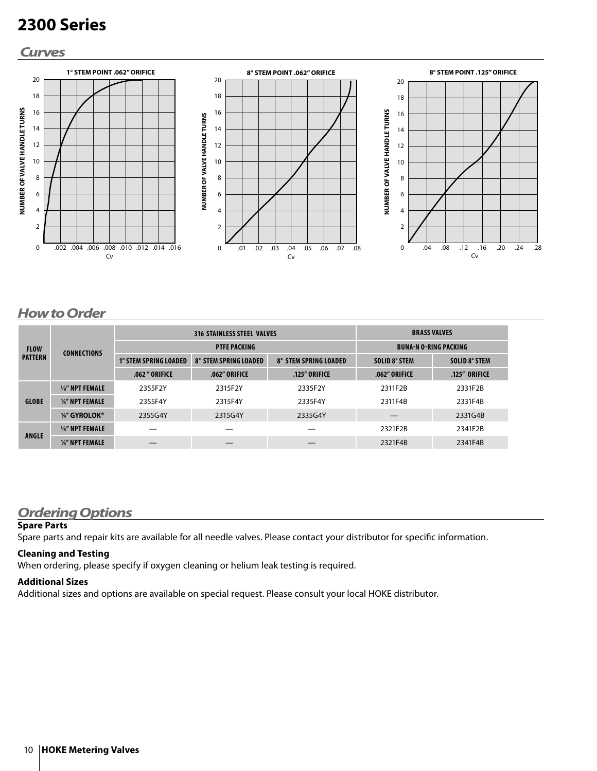# **2300 Series**

### *Curves*



## *How to Order*

| <b>FLOW</b><br><b>PATTERN</b> | <b>CONNECTIONS</b>         | <b>316 STAINLESS STEEL VALVES</b> |                              |                              | <b>BRASS VALVES</b>          |               |
|-------------------------------|----------------------------|-----------------------------------|------------------------------|------------------------------|------------------------------|---------------|
|                               |                            | <b>PTFE PACKING</b>               |                              |                              | <b>BUNA-N O-RING PACKING</b> |               |
|                               |                            | <b>1° STEM SPRING LOADED</b>      | <b>8° STEM SPRING LOADED</b> | <b>8° STEM SPRING LOADED</b> | SOLID 8° STEM                | SOLID 8° STEM |
|                               |                            | .062" ORIFICE                     | .062" ORIFICE                | .125" ORIFICE                | .062" ORIFICE                | .125" ORIFICE |
| <b>GLOBE</b>                  | $\frac{1}{8}$ " NPT FEMALE | 2355F2Y                           | 2315F2Y                      | 2335F2Y                      | 2311F2B                      | 2331F2B       |
|                               | 1/4" NPT FEMALE            | 2355F4Y                           | 2315F4Y                      | 2335F4Y                      | 2311F4B                      | 2331F4B       |
|                               | 1/4" GYROLOK®              | 2355G4Y                           | 2315G4Y                      | 2335G4Y                      |                              | 2331G4B       |
| <b>ANGLE</b>                  | $\frac{1}{8}$ " NPT FEMALE |                                   |                              |                              | 2321F2B                      | 2341F2B       |
|                               | 1/4" NPT FEMALE            |                                   |                              |                              | 2321F4B                      | 2341F4B       |

### *Ordering Options*

#### **Spare Parts**

Spare parts and repair kits are available for all needle valves. Please contact your distributor for specific information.

#### **Cleaning and Testing**

When ordering, please specify if oxygen cleaning or helium leak testing is required.

#### **Additional Sizes**

Additional sizes and options are available on special request. Please consult your local HOKE distributor.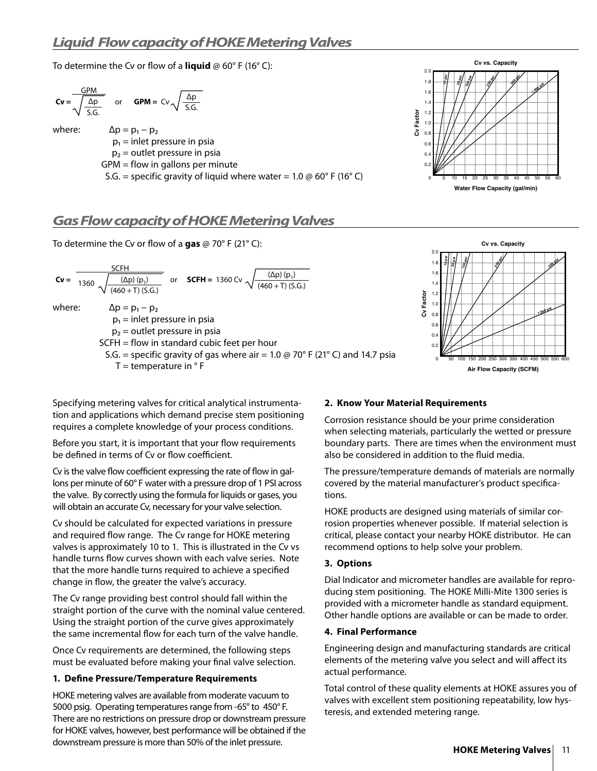To determine the Cv or flow of a **liquid**  $\omega$  60° F (16° C):

$$
Cv = \frac{GPM}{\sqrt{\frac{\Delta p}{S.G.}}}
$$
 or  $GPM = Cv \sqrt{\frac{\Delta p}{S.G.}}$   
where:  

$$
\Delta p = p_1 - p_2
$$
  

$$
p_1 = inlet pressure in psia
$$
  

$$
p_2 = outlet pressure in psia
$$
  
 $GPM = flow in gallons per minute$   
 $S.G. = specific gravity of liquid where water = 1.0 @ 60° F (16° C)$ 

# *Gas Flow capacity of HOKE Metering Valves*

To determine the Cv or flow of a gas  $\omega$  70° F (21° C):





**Water Flow Capacity (gal/min)**

10 15 20 25 30 35 40 45 50 55 60

**Cv vs. Capacity**

50 psi

**1,000 psi** 

29)<br>20)

Specifying metering valves for critical analytical instrumentation and applications which demand precise stem positioning requires a complete knowledge of your process conditions.

Before you start, it is important that your flow requirements be defined in terms of Cv or flow coefficient.

Cv is the valve flow coefficient expressing the rate of flow in gallons per minute of 60° F water with a pressure drop of 1 PSI across the valve. By correctly using the formula for liquids or gases, you will obtain an accurate Cv, necessary for your valve selection.

Cv should be calculated for expected variations in pressure and required flow range. The Cv range for HOKE metering valves is approximately 10 to 1. This is illustrated in the Cv vs handle turns flow curves shown with each valve series. Note that the more handle turns required to achieve a specified change in flow, the greater the valve's accuracy.

The Cv range providing best control should fall within the straight portion of the curve with the nominal value centered. Using the straight portion of the curve gives approximately the same incremental flow for each turn of the valve handle.

Once Cv requirements are determined, the following steps must be evaluated before making your final valve selection.

#### **1. Define Pressure/Temperature Requirements**

HOKE metering valves are available from moderate vacuum to 5000 psig. Operating temperatures range from -65° to 450° F. There are no restrictions on pressure drop or downstream pressure for HOKE valves, however, best performance will be obtained if the downstream pressure is more than 50% of the inlet pressure.

#### **2. Know Your Material Requirements**

**Cv Factor**

Cv Factor

5

**10 psi 50 psi 100 psi**

0.2 0

0.4  $\overline{0}$ .  $0.\&$ 1.0 1.2 1.4 1.6 1.8 2.0

Corrosion resistance should be your prime consideration when selecting materials, particularly the wetted or pressure boundary parts. There are times when the environment must also be considered in addition to the fluid media.

The pressure/temperature demands of materials are normally covered by the material manufacturer's product specifications.

HOKE products are designed using materials of similar corrosion properties whenever possible. If material selection is critical, please contact your nearby HOKE distributor. He can recommend options to help solve your problem.

#### **3. Options**

Dial Indicator and micrometer handles are available for reproducing stem positioning. The HOKE Milli-Mite 1300 series is provided with a micrometer handle as standard equipment. Other handle options are available or can be made to order.

#### **4. Final Performance**

Engineering design and manufacturing standards are critical elements of the metering valve you select and will affect its actual performance.

Total control of these quality elements at HOKE assures you of valves with excellent stem positioning repeatability, low hysteresis, and extended metering range.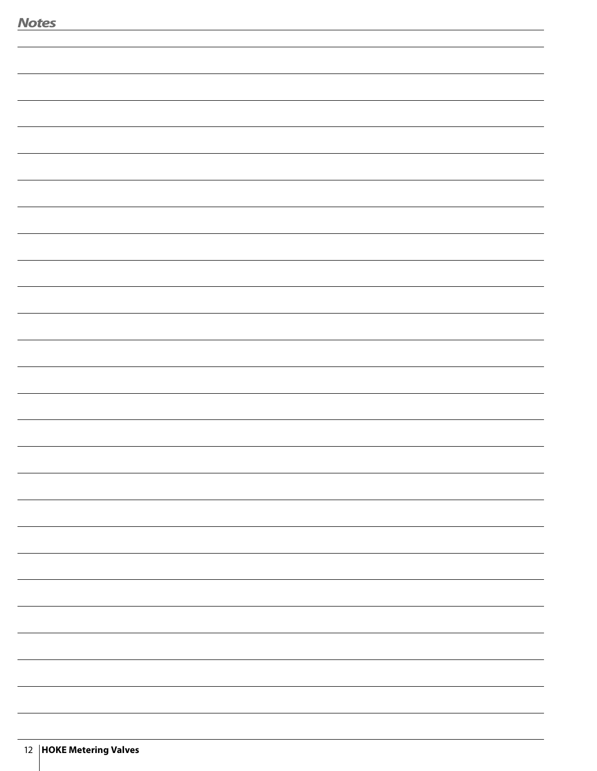| <b>Notes</b> |  |
|--------------|--|
|              |  |
|              |  |
|              |  |
|              |  |
|              |  |
|              |  |
|              |  |
|              |  |
|              |  |
|              |  |
|              |  |
|              |  |
|              |  |
|              |  |
|              |  |
|              |  |
|              |  |
|              |  |
|              |  |
|              |  |
|              |  |
|              |  |
|              |  |
|              |  |
|              |  |
|              |  |
|              |  |
|              |  |
|              |  |
|              |  |
|              |  |
|              |  |
|              |  |
|              |  |
|              |  |
|              |  |
|              |  |
|              |  |
|              |  |
|              |  |